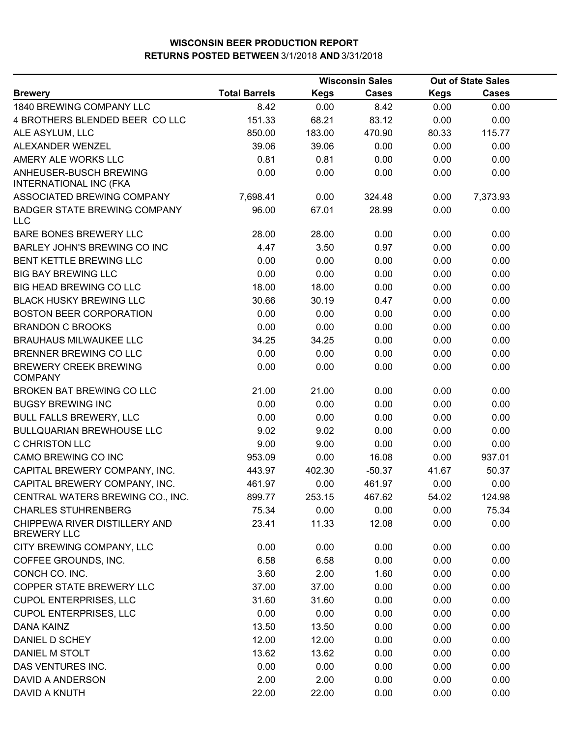|                                                         | <b>Wisconsin Sales</b> |             |              | <b>Out of State Sales</b> |              |  |
|---------------------------------------------------------|------------------------|-------------|--------------|---------------------------|--------------|--|
| <b>Brewery</b>                                          | <b>Total Barrels</b>   | <b>Kegs</b> | <b>Cases</b> | <b>Kegs</b>               | <b>Cases</b> |  |
| 1840 BREWING COMPANY LLC                                | 8.42                   | 0.00        | 8.42         | 0.00                      | 0.00         |  |
| 4 BROTHERS BLENDED BEER COLLC                           | 151.33                 | 68.21       | 83.12        | 0.00                      | 0.00         |  |
| ALE ASYLUM, LLC                                         | 850.00                 | 183.00      | 470.90       | 80.33                     | 115.77       |  |
| ALEXANDER WENZEL                                        | 39.06                  | 39.06       | 0.00         | 0.00                      | 0.00         |  |
| AMERY ALE WORKS LLC                                     | 0.81                   | 0.81        | 0.00         | 0.00                      | 0.00         |  |
| ANHEUSER-BUSCH BREWING<br><b>INTERNATIONAL INC (FKA</b> | 0.00                   | 0.00        | 0.00         | 0.00                      | 0.00         |  |
| ASSOCIATED BREWING COMPANY                              | 7,698.41               | 0.00        | 324.48       | 0.00                      | 7,373.93     |  |
| <b>BADGER STATE BREWING COMPANY</b><br>LLC              | 96.00                  | 67.01       | 28.99        | 0.00                      | 0.00         |  |
| BARE BONES BREWERY LLC                                  | 28.00                  | 28.00       | 0.00         | 0.00                      | 0.00         |  |
| BARLEY JOHN'S BREWING CO INC                            | 4.47                   | 3.50        | 0.97         | 0.00                      | 0.00         |  |
| <b>BENT KETTLE BREWING LLC</b>                          | 0.00                   | 0.00        | 0.00         | 0.00                      | 0.00         |  |
| <b>BIG BAY BREWING LLC</b>                              | 0.00                   | 0.00        | 0.00         | 0.00                      | 0.00         |  |
| BIG HEAD BREWING CO LLC                                 | 18.00                  | 18.00       | 0.00         | 0.00                      | 0.00         |  |
| <b>BLACK HUSKY BREWING LLC</b>                          | 30.66                  | 30.19       | 0.47         | 0.00                      | 0.00         |  |
| <b>BOSTON BEER CORPORATION</b>                          | 0.00                   | 0.00        | 0.00         | 0.00                      | 0.00         |  |
| <b>BRANDON C BROOKS</b>                                 | 0.00                   | 0.00        | 0.00         | 0.00                      | 0.00         |  |
| <b>BRAUHAUS MILWAUKEE LLC</b>                           | 34.25                  | 34.25       | 0.00         | 0.00                      | 0.00         |  |
| BRENNER BREWING CO LLC                                  | 0.00                   | 0.00        | 0.00         | 0.00                      | 0.00         |  |
| <b>BREWERY CREEK BREWING</b><br><b>COMPANY</b>          | 0.00                   | 0.00        | 0.00         | 0.00                      | 0.00         |  |
| BROKEN BAT BREWING CO LLC                               | 21.00                  | 21.00       | 0.00         | 0.00                      | 0.00         |  |
| <b>BUGSY BREWING INC</b>                                | 0.00                   | 0.00        | 0.00         | 0.00                      | 0.00         |  |
| <b>BULL FALLS BREWERY, LLC</b>                          | 0.00                   | 0.00        | 0.00         | 0.00                      | 0.00         |  |
| <b>BULLQUARIAN BREWHOUSE LLC</b>                        | 9.02                   | 9.02        | 0.00         | 0.00                      | 0.00         |  |
| <b>C CHRISTON LLC</b>                                   | 9.00                   | 9.00        | 0.00         | 0.00                      | 0.00         |  |
| CAMO BREWING CO INC                                     | 953.09                 | 0.00        | 16.08        | 0.00                      | 937.01       |  |
| CAPITAL BREWERY COMPANY, INC.                           | 443.97                 | 402.30      | $-50.37$     | 41.67                     | 50.37        |  |
| CAPITAL BREWERY COMPANY, INC.                           | 461.97                 | 0.00        | 461.97       | 0.00                      | 0.00         |  |
| CENTRAL WATERS BREWING CO., INC.                        | 899.77                 | 253.15      | 467.62       | 54.02                     | 124.98       |  |
| <b>CHARLES STUHRENBERG</b>                              | 75.34                  | 0.00        | 0.00         | 0.00                      | 75.34        |  |
| CHIPPEWA RIVER DISTILLERY AND<br><b>BREWERY LLC</b>     | 23.41                  | 11.33       | 12.08        | 0.00                      | 0.00         |  |
| CITY BREWING COMPANY, LLC                               | 0.00                   | 0.00        | 0.00         | 0.00                      | 0.00         |  |
| COFFEE GROUNDS, INC.                                    | 6.58                   | 6.58        | 0.00         | 0.00                      | 0.00         |  |
| CONCH CO. INC.                                          | 3.60                   | 2.00        | 1.60         | 0.00                      | 0.00         |  |
| COPPER STATE BREWERY LLC                                | 37.00                  | 37.00       | 0.00         | 0.00                      | 0.00         |  |
| <b>CUPOL ENTERPRISES, LLC</b>                           | 31.60                  | 31.60       | 0.00         | 0.00                      | 0.00         |  |
| <b>CUPOL ENTERPRISES, LLC</b>                           | 0.00                   | 0.00        | 0.00         | 0.00                      | 0.00         |  |
| DANA KAINZ                                              | 13.50                  | 13.50       | 0.00         | 0.00                      | 0.00         |  |
| DANIEL D SCHEY                                          | 12.00                  | 12.00       | 0.00         | 0.00                      | 0.00         |  |
| DANIEL M STOLT                                          | 13.62                  | 13.62       | 0.00         | 0.00                      | 0.00         |  |
| DAS VENTURES INC.                                       | 0.00                   | 0.00        | 0.00         | 0.00                      | 0.00         |  |
| DAVID A ANDERSON                                        | 2.00                   | 2.00        | 0.00         | 0.00                      | 0.00         |  |
| DAVID A KNUTH                                           | 22.00                  | 22.00       | 0.00         | 0.00                      | 0.00         |  |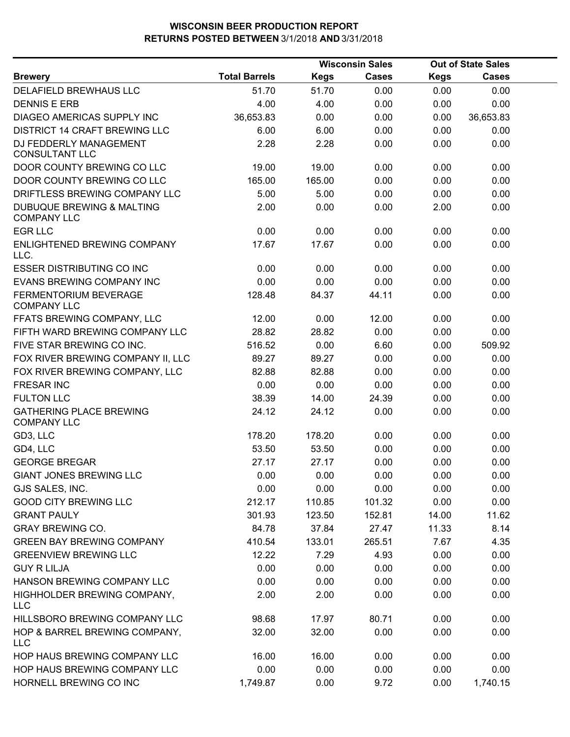|                                                            |                      |             | <b>Wisconsin Sales</b> | <b>Out of State Sales</b> |           |  |
|------------------------------------------------------------|----------------------|-------------|------------------------|---------------------------|-----------|--|
| <b>Brewery</b>                                             | <b>Total Barrels</b> | <b>Kegs</b> | <b>Cases</b>           | <b>Kegs</b>               | Cases     |  |
| DELAFIELD BREWHAUS LLC                                     | 51.70                | 51.70       | 0.00                   | 0.00                      | 0.00      |  |
| <b>DENNIS E ERB</b>                                        | 4.00                 | 4.00        | 0.00                   | 0.00                      | 0.00      |  |
| DIAGEO AMERICAS SUPPLY INC                                 | 36,653.83            | 0.00        | 0.00                   | 0.00                      | 36,653.83 |  |
| <b>DISTRICT 14 CRAFT BREWING LLC</b>                       | 6.00                 | 6.00        | 0.00                   | 0.00                      | 0.00      |  |
| DJ FEDDERLY MANAGEMENT<br><b>CONSULTANT LLC</b>            | 2.28                 | 2.28        | 0.00                   | 0.00                      | 0.00      |  |
| DOOR COUNTY BREWING CO LLC                                 | 19.00                | 19.00       | 0.00                   | 0.00                      | 0.00      |  |
| DOOR COUNTY BREWING CO LLC                                 | 165.00               | 165.00      | 0.00                   | 0.00                      | 0.00      |  |
| DRIFTLESS BREWING COMPANY LLC                              | 5.00                 | 5.00        | 0.00                   | 0.00                      | 0.00      |  |
| <b>DUBUQUE BREWING &amp; MALTING</b><br><b>COMPANY LLC</b> | 2.00                 | 0.00        | 0.00                   | 2.00                      | 0.00      |  |
| <b>EGR LLC</b>                                             | 0.00                 | 0.00        | 0.00                   | 0.00                      | 0.00      |  |
| ENLIGHTENED BREWING COMPANY<br>LLC.                        | 17.67                | 17.67       | 0.00                   | 0.00                      | 0.00      |  |
| <b>ESSER DISTRIBUTING CO INC</b>                           | 0.00                 | 0.00        | 0.00                   | 0.00                      | 0.00      |  |
| EVANS BREWING COMPANY INC                                  | 0.00                 | 0.00        | 0.00                   | 0.00                      | 0.00      |  |
| FERMENTORIUM BEVERAGE<br><b>COMPANY LLC</b>                | 128.48               | 84.37       | 44.11                  | 0.00                      | 0.00      |  |
| FFATS BREWING COMPANY, LLC                                 | 12.00                | 0.00        | 12.00                  | 0.00                      | 0.00      |  |
| FIFTH WARD BREWING COMPANY LLC                             | 28.82                | 28.82       | 0.00                   | 0.00                      | 0.00      |  |
| FIVE STAR BREWING CO INC.                                  | 516.52               | 0.00        | 6.60                   | 0.00                      | 509.92    |  |
| FOX RIVER BREWING COMPANY II, LLC                          | 89.27                | 89.27       | 0.00                   | 0.00                      | 0.00      |  |
| FOX RIVER BREWING COMPANY, LLC                             | 82.88                | 82.88       | 0.00                   | 0.00                      | 0.00      |  |
| <b>FRESAR INC</b>                                          | 0.00                 | 0.00        | 0.00                   | 0.00                      | 0.00      |  |
| <b>FULTON LLC</b>                                          | 38.39                | 14.00       | 24.39                  | 0.00                      | 0.00      |  |
| <b>GATHERING PLACE BREWING</b><br><b>COMPANY LLC</b>       | 24.12                | 24.12       | 0.00                   | 0.00                      | 0.00      |  |
| GD3, LLC                                                   | 178.20               | 178.20      | 0.00                   | 0.00                      | 0.00      |  |
| GD4, LLC                                                   | 53.50                | 53.50       | 0.00                   | 0.00                      | 0.00      |  |
| <b>GEORGE BREGAR</b>                                       | 27.17                | 27.17       | 0.00                   | 0.00                      | 0.00      |  |
| <b>GIANT JONES BREWING LLC</b>                             | 0.00                 | 0.00        | 0.00                   | 0.00                      | 0.00      |  |
| GJS SALES, INC.                                            | 0.00                 | 0.00        | 0.00                   | 0.00                      | 0.00      |  |
| <b>GOOD CITY BREWING LLC</b>                               | 212.17               | 110.85      | 101.32                 | 0.00                      | 0.00      |  |
| <b>GRANT PAULY</b>                                         | 301.93               | 123.50      | 152.81                 | 14.00                     | 11.62     |  |
| <b>GRAY BREWING CO.</b>                                    | 84.78                | 37.84       | 27.47                  | 11.33                     | 8.14      |  |
| <b>GREEN BAY BREWING COMPANY</b>                           | 410.54               | 133.01      | 265.51                 | 7.67                      | 4.35      |  |
| <b>GREENVIEW BREWING LLC</b>                               | 12.22                | 7.29        | 4.93                   | 0.00                      | 0.00      |  |
| <b>GUY R LILJA</b>                                         | 0.00                 | 0.00        | 0.00                   | 0.00                      | 0.00      |  |
| HANSON BREWING COMPANY LLC                                 | 0.00                 | 0.00        | 0.00                   | 0.00                      | 0.00      |  |
| HIGHHOLDER BREWING COMPANY,<br><b>LLC</b>                  | 2.00                 | 2.00        | 0.00                   | 0.00                      | 0.00      |  |
| HILLSBORO BREWING COMPANY LLC                              | 98.68                | 17.97       | 80.71                  | 0.00                      | 0.00      |  |
| HOP & BARREL BREWING COMPANY,<br><b>LLC</b>                | 32.00                | 32.00       | 0.00                   | 0.00                      | 0.00      |  |
| HOP HAUS BREWING COMPANY LLC                               | 16.00                | 16.00       | 0.00                   | 0.00                      | 0.00      |  |
| HOP HAUS BREWING COMPANY LLC                               | 0.00                 | 0.00        | 0.00                   | 0.00                      | 0.00      |  |
| HORNELL BREWING CO INC                                     | 1,749.87             | 0.00        | 9.72                   | 0.00                      | 1,740.15  |  |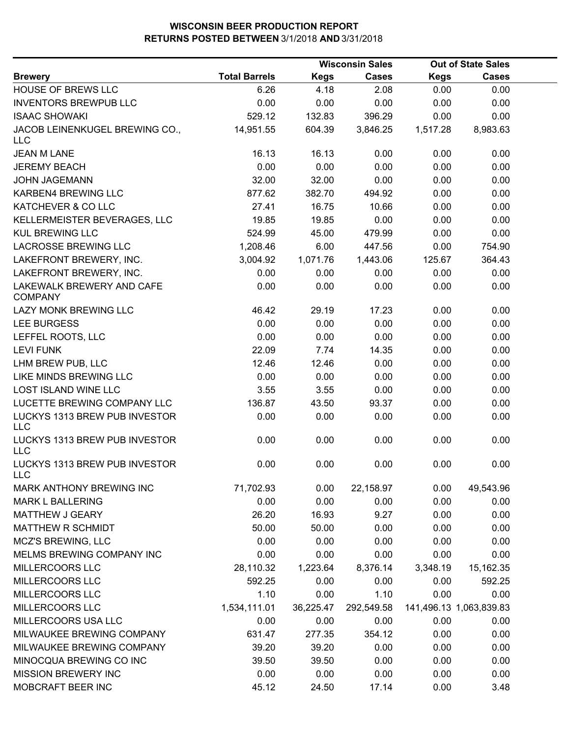|                                             |                      |             | <b>Wisconsin Sales</b> |             | <b>Out of State Sales</b> |  |
|---------------------------------------------|----------------------|-------------|------------------------|-------------|---------------------------|--|
| <b>Brewery</b>                              | <b>Total Barrels</b> | <b>Kegs</b> | <b>Cases</b>           | <b>Kegs</b> | <b>Cases</b>              |  |
| HOUSE OF BREWS LLC                          | 6.26                 | 4.18        | 2.08                   | 0.00        | 0.00                      |  |
| <b>INVENTORS BREWPUB LLC</b>                | 0.00                 | 0.00        | 0.00                   | 0.00        | 0.00                      |  |
| <b>ISAAC SHOWAKI</b>                        | 529.12               | 132.83      | 396.29                 | 0.00        | 0.00                      |  |
| JACOB LEINENKUGEL BREWING CO.,<br>LLC       | 14,951.55            | 604.39      | 3,846.25               | 1,517.28    | 8,983.63                  |  |
| <b>JEAN M LANE</b>                          | 16.13                | 16.13       | 0.00                   | 0.00        | 0.00                      |  |
| <b>JEREMY BEACH</b>                         | 0.00                 | 0.00        | 0.00                   | 0.00        | 0.00                      |  |
| <b>JOHN JAGEMANN</b>                        | 32.00                | 32.00       | 0.00                   | 0.00        | 0.00                      |  |
| KARBEN4 BREWING LLC                         | 877.62               | 382.70      | 494.92                 | 0.00        | 0.00                      |  |
| KATCHEVER & CO LLC                          | 27.41                | 16.75       | 10.66                  | 0.00        | 0.00                      |  |
| KELLERMEISTER BEVERAGES, LLC                | 19.85                | 19.85       | 0.00                   | 0.00        | 0.00                      |  |
| <b>KUL BREWING LLC</b>                      | 524.99               | 45.00       | 479.99                 | 0.00        | 0.00                      |  |
| LACROSSE BREWING LLC                        | 1,208.46             | 6.00        | 447.56                 | 0.00        | 754.90                    |  |
| LAKEFRONT BREWERY, INC.                     | 3,004.92             | 1,071.76    | 1,443.06               | 125.67      | 364.43                    |  |
| LAKEFRONT BREWERY, INC.                     | 0.00                 | 0.00        | 0.00                   | 0.00        | 0.00                      |  |
| LAKEWALK BREWERY AND CAFE<br><b>COMPANY</b> | 0.00                 | 0.00        | 0.00                   | 0.00        | 0.00                      |  |
| <b>LAZY MONK BREWING LLC</b>                | 46.42                | 29.19       | 17.23                  | 0.00        | 0.00                      |  |
| LEE BURGESS                                 | 0.00                 | 0.00        | 0.00                   | 0.00        | 0.00                      |  |
| LEFFEL ROOTS, LLC                           | 0.00                 | 0.00        | 0.00                   | 0.00        | 0.00                      |  |
| <b>LEVI FUNK</b>                            | 22.09                | 7.74        | 14.35                  | 0.00        | 0.00                      |  |
| LHM BREW PUB, LLC                           | 12.46                | 12.46       | 0.00                   | 0.00        | 0.00                      |  |
| LIKE MINDS BREWING LLC                      | 0.00                 | 0.00        | 0.00                   | 0.00        | 0.00                      |  |
| <b>LOST ISLAND WINE LLC</b>                 | 3.55                 | 3.55        | 0.00                   | 0.00        | 0.00                      |  |
| LUCETTE BREWING COMPANY LLC                 | 136.87               | 43.50       | 93.37                  | 0.00        | 0.00                      |  |
| LUCKYS 1313 BREW PUB INVESTOR<br><b>LLC</b> | 0.00                 | 0.00        | 0.00                   | 0.00        | 0.00                      |  |
| LUCKYS 1313 BREW PUB INVESTOR<br><b>LLC</b> | 0.00                 | 0.00        | 0.00                   | 0.00        | 0.00                      |  |
| LUCKYS 1313 BREW PUB INVESTOR<br><b>LLC</b> | 0.00                 | 0.00        | 0.00                   | 0.00        | 0.00                      |  |
| MARK ANTHONY BREWING INC                    | 71,702.93            | 0.00        | 22,158.97              | 0.00        | 49,543.96                 |  |
| <b>MARK L BALLERING</b>                     | 0.00                 | 0.00        | 0.00                   | 0.00        | 0.00                      |  |
| MATTHEW J GEARY                             | 26.20                | 16.93       | 9.27                   | 0.00        | 0.00                      |  |
| <b>MATTHEW R SCHMIDT</b>                    | 50.00                | 50.00       | 0.00                   | 0.00        | 0.00                      |  |
| MCZ'S BREWING, LLC                          | 0.00                 | 0.00        | 0.00                   | 0.00        | 0.00                      |  |
| MELMS BREWING COMPANY INC                   | 0.00                 | 0.00        | 0.00                   | 0.00        | 0.00                      |  |
| MILLERCOORS LLC                             | 28,110.32            | 1,223.64    | 8,376.14               | 3,348.19    | 15,162.35                 |  |
| MILLERCOORS LLC                             | 592.25               | 0.00        | 0.00                   | 0.00        | 592.25                    |  |
| MILLERCOORS LLC                             | 1.10                 | 0.00        | 1.10                   | 0.00        | 0.00                      |  |
| MILLERCOORS LLC                             | 1,534,111.01         | 36,225.47   | 292,549.58             |             | 141,496.13 1,063,839.83   |  |
| MILLERCOORS USA LLC                         | 0.00                 | 0.00        | 0.00                   | 0.00        | 0.00                      |  |
| MILWAUKEE BREWING COMPANY                   | 631.47               | 277.35      | 354.12                 | 0.00        | 0.00                      |  |
| MILWAUKEE BREWING COMPANY                   | 39.20                | 39.20       | 0.00                   | 0.00        | 0.00                      |  |
| MINOCQUA BREWING CO INC                     | 39.50                | 39.50       | 0.00                   | 0.00        | 0.00                      |  |
| <b>MISSION BREWERY INC</b>                  | 0.00                 | 0.00        | 0.00                   | 0.00        | 0.00                      |  |
| MOBCRAFT BEER INC                           | 45.12                | 24.50       | 17.14                  | 0.00        | 3.48                      |  |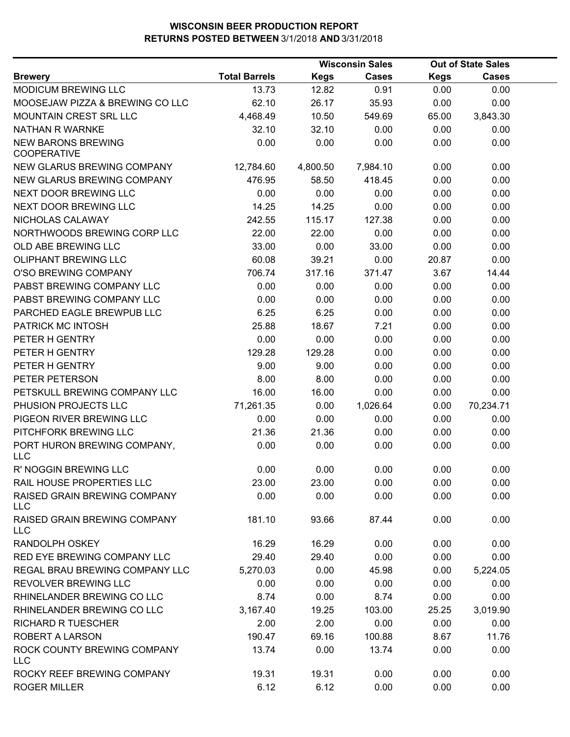|                                                 |                      |             | <b>Wisconsin Sales</b> |             | <b>Out of State Sales</b> |  |
|-------------------------------------------------|----------------------|-------------|------------------------|-------------|---------------------------|--|
| <b>Brewery</b>                                  | <b>Total Barrels</b> | <b>Kegs</b> | Cases                  | <b>Kegs</b> | <b>Cases</b>              |  |
| MODICUM BREWING LLC                             | 13.73                | 12.82       | 0.91                   | 0.00        | 0.00                      |  |
| MOOSEJAW PIZZA & BREWING CO LLC                 | 62.10                | 26.17       | 35.93                  | 0.00        | 0.00                      |  |
| MOUNTAIN CREST SRL LLC                          | 4,468.49             | 10.50       | 549.69                 | 65.00       | 3,843.30                  |  |
| NATHAN R WARNKE                                 | 32.10                | 32.10       | 0.00                   | 0.00        | 0.00                      |  |
| <b>NEW BARONS BREWING</b><br><b>COOPERATIVE</b> | 0.00                 | 0.00        | 0.00                   | 0.00        | 0.00                      |  |
| NEW GLARUS BREWING COMPANY                      | 12,784.60            | 4,800.50    | 7,984.10               | 0.00        | 0.00                      |  |
| NEW GLARUS BREWING COMPANY                      | 476.95               | 58.50       | 418.45                 | 0.00        | 0.00                      |  |
| <b>NEXT DOOR BREWING LLC</b>                    | 0.00                 | 0.00        | 0.00                   | 0.00        | 0.00                      |  |
| NEXT DOOR BREWING LLC                           | 14.25                | 14.25       | 0.00                   | 0.00        | 0.00                      |  |
| NICHOLAS CALAWAY                                | 242.55               | 115.17      | 127.38                 | 0.00        | 0.00                      |  |
| NORTHWOODS BREWING CORP LLC                     | 22.00                | 22.00       | 0.00                   | 0.00        | 0.00                      |  |
| OLD ABE BREWING LLC                             | 33.00                | 0.00        | 33.00                  | 0.00        | 0.00                      |  |
| OLIPHANT BREWING LLC                            | 60.08                | 39.21       | 0.00                   | 20.87       | 0.00                      |  |
| O'SO BREWING COMPANY                            | 706.74               | 317.16      | 371.47                 | 3.67        | 14.44                     |  |
| PABST BREWING COMPANY LLC                       | 0.00                 | 0.00        | 0.00                   | 0.00        | 0.00                      |  |
| PABST BREWING COMPANY LLC                       | 0.00                 | 0.00        | 0.00                   | 0.00        | 0.00                      |  |
| PARCHED EAGLE BREWPUB LLC                       | 6.25                 | 6.25        | 0.00                   | 0.00        | 0.00                      |  |
| PATRICK MC INTOSH                               | 25.88                | 18.67       | 7.21                   | 0.00        | 0.00                      |  |
| PETER H GENTRY                                  | 0.00                 | 0.00        | 0.00                   | 0.00        | 0.00                      |  |
| PETER H GENTRY                                  | 129.28               | 129.28      | 0.00                   | 0.00        | 0.00                      |  |
| PETER H GENTRY                                  | 9.00                 | 9.00        | 0.00                   | 0.00        | 0.00                      |  |
| PETER PETERSON                                  | 8.00                 | 8.00        | 0.00                   | 0.00        | 0.00                      |  |
| PETSKULL BREWING COMPANY LLC                    | 16.00                | 16.00       | 0.00                   | 0.00        | 0.00                      |  |
| PHUSION PROJECTS LLC                            | 71,261.35            | 0.00        | 1,026.64               | 0.00        | 70,234.71                 |  |
| PIGEON RIVER BREWING LLC                        | 0.00                 | 0.00        | 0.00                   | 0.00        | 0.00                      |  |
| PITCHFORK BREWING LLC                           | 21.36                | 21.36       | 0.00                   | 0.00        | 0.00                      |  |
| PORT HURON BREWING COMPANY,<br><b>LLC</b>       | 0.00                 | 0.00        | 0.00                   | 0.00        | 0.00                      |  |
| R' NOGGIN BREWING LLC                           | 0.00                 | 0.00        | 0.00                   | 0.00        | 0.00                      |  |
| RAIL HOUSE PROPERTIES LLC                       | 23.00                | 23.00       | 0.00                   | 0.00        | 0.00                      |  |
| RAISED GRAIN BREWING COMPANY<br><b>LLC</b>      | 0.00                 | 0.00        | 0.00                   | 0.00        | 0.00                      |  |
| RAISED GRAIN BREWING COMPANY<br><b>LLC</b>      | 181.10               | 93.66       | 87.44                  | 0.00        | 0.00                      |  |
| <b>RANDOLPH OSKEY</b>                           | 16.29                | 16.29       | 0.00                   | 0.00        | 0.00                      |  |
| RED EYE BREWING COMPANY LLC                     | 29.40                | 29.40       | 0.00                   | 0.00        | 0.00                      |  |
| REGAL BRAU BREWING COMPANY LLC                  | 5,270.03             | 0.00        | 45.98                  | 0.00        | 5,224.05                  |  |
| REVOLVER BREWING LLC                            | 0.00                 | 0.00        | 0.00                   | 0.00        | 0.00                      |  |
| RHINELANDER BREWING CO LLC                      | 8.74                 | 0.00        | 8.74                   | 0.00        | 0.00                      |  |
| RHINELANDER BREWING CO LLC                      | 3,167.40             | 19.25       | 103.00                 | 25.25       | 3,019.90                  |  |
| <b>RICHARD R TUESCHER</b>                       | 2.00                 | 2.00        | 0.00                   | 0.00        | 0.00                      |  |
| <b>ROBERT A LARSON</b>                          | 190.47               | 69.16       | 100.88                 | 8.67        | 11.76                     |  |
| ROCK COUNTY BREWING COMPANY<br><b>LLC</b>       | 13.74                | 0.00        | 13.74                  | 0.00        | 0.00                      |  |
| ROCKY REEF BREWING COMPANY                      | 19.31                | 19.31       | 0.00                   | 0.00        | 0.00                      |  |
| <b>ROGER MILLER</b>                             | 6.12                 | 6.12        | 0.00                   | 0.00        | 0.00                      |  |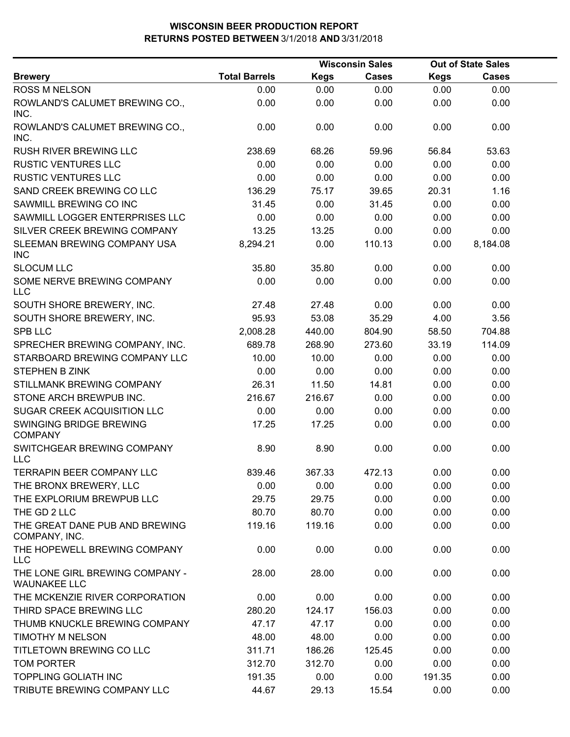|                                                        |                      | <b>Wisconsin Sales</b> |              |             | <b>Out of State Sales</b> |  |
|--------------------------------------------------------|----------------------|------------------------|--------------|-------------|---------------------------|--|
| <b>Brewery</b>                                         | <b>Total Barrels</b> | <b>Kegs</b>            | <b>Cases</b> | <b>Kegs</b> | <b>Cases</b>              |  |
| ROSS M NELSON                                          | 0.00                 | 0.00                   | 0.00         | 0.00        | 0.00                      |  |
| ROWLAND'S CALUMET BREWING CO.,<br>INC.                 | 0.00                 | 0.00                   | 0.00         | 0.00        | 0.00                      |  |
| ROWLAND'S CALUMET BREWING CO.,<br>INC.                 | 0.00                 | 0.00                   | 0.00         | 0.00        | 0.00                      |  |
| <b>RUSH RIVER BREWING LLC</b>                          | 238.69               | 68.26                  | 59.96        | 56.84       | 53.63                     |  |
| <b>RUSTIC VENTURES LLC</b>                             | 0.00                 | 0.00                   | 0.00         | 0.00        | 0.00                      |  |
| <b>RUSTIC VENTURES LLC</b>                             | 0.00                 | 0.00                   | 0.00         | 0.00        | 0.00                      |  |
| SAND CREEK BREWING CO LLC                              | 136.29               | 75.17                  | 39.65        | 20.31       | 1.16                      |  |
| SAWMILL BREWING CO INC                                 | 31.45                | 0.00                   | 31.45        | 0.00        | 0.00                      |  |
| SAWMILL LOGGER ENTERPRISES LLC                         | 0.00                 | 0.00                   | 0.00         | 0.00        | 0.00                      |  |
| SILVER CREEK BREWING COMPANY                           | 13.25                | 13.25                  | 0.00         | 0.00        | 0.00                      |  |
| SLEEMAN BREWING COMPANY USA<br><b>INC</b>              | 8,294.21             | 0.00                   | 110.13       | 0.00        | 8,184.08                  |  |
| <b>SLOCUM LLC</b>                                      | 35.80                | 35.80                  | 0.00         | 0.00        | 0.00                      |  |
| SOME NERVE BREWING COMPANY<br><b>LLC</b>               | 0.00                 | 0.00                   | 0.00         | 0.00        | 0.00                      |  |
| SOUTH SHORE BREWERY, INC.                              | 27.48                | 27.48                  | 0.00         | 0.00        | 0.00                      |  |
| SOUTH SHORE BREWERY, INC.                              | 95.93                | 53.08                  | 35.29        | 4.00        | 3.56                      |  |
| <b>SPB LLC</b>                                         | 2,008.28             | 440.00                 | 804.90       | 58.50       | 704.88                    |  |
| SPRECHER BREWING COMPANY, INC.                         | 689.78               | 268.90                 | 273.60       | 33.19       | 114.09                    |  |
| STARBOARD BREWING COMPANY LLC                          | 10.00                | 10.00                  | 0.00         | 0.00        | 0.00                      |  |
| STEPHEN B ZINK                                         | 0.00                 | 0.00                   | 0.00         | 0.00        | 0.00                      |  |
| STILLMANK BREWING COMPANY                              | 26.31                | 11.50                  | 14.81        | 0.00        | 0.00                      |  |
| STONE ARCH BREWPUB INC.                                | 216.67               | 216.67                 | 0.00         | 0.00        | 0.00                      |  |
| SUGAR CREEK ACQUISITION LLC                            | 0.00                 | 0.00                   | 0.00         | 0.00        | 0.00                      |  |
| SWINGING BRIDGE BREWING<br><b>COMPANY</b>              | 17.25                | 17.25                  | 0.00         | 0.00        | 0.00                      |  |
| SWITCHGEAR BREWING COMPANY<br><b>LLC</b>               | 8.90                 | 8.90                   | 0.00         | 0.00        | 0.00                      |  |
| <b>TERRAPIN BEER COMPANY LLC</b>                       | 839.46               | 367.33                 | 472.13       | 0.00        | 0.00                      |  |
| THE BRONX BREWERY, LLC                                 | 0.00                 | 0.00                   | 0.00         | 0.00        | 0.00                      |  |
| THE EXPLORIUM BREWPUB LLC                              | 29.75                | 29.75                  | 0.00         | 0.00        | 0.00                      |  |
| THE GD 2 LLC                                           | 80.70                | 80.70                  | 0.00         | 0.00        | 0.00                      |  |
| THE GREAT DANE PUB AND BREWING<br>COMPANY, INC.        | 119.16               | 119.16                 | 0.00         | 0.00        | 0.00                      |  |
| THE HOPEWELL BREWING COMPANY<br><b>LLC</b>             | 0.00                 | 0.00                   | 0.00         | 0.00        | 0.00                      |  |
| THE LONE GIRL BREWING COMPANY -<br><b>WAUNAKEE LLC</b> | 28.00                | 28.00                  | 0.00         | 0.00        | 0.00                      |  |
| THE MCKENZIE RIVER CORPORATION                         | 0.00                 | 0.00                   | 0.00         | 0.00        | 0.00                      |  |
| THIRD SPACE BREWING LLC                                | 280.20               | 124.17                 | 156.03       | 0.00        | 0.00                      |  |
| THUMB KNUCKLE BREWING COMPANY                          | 47.17                | 47.17                  | 0.00         | 0.00        | 0.00                      |  |
| TIMOTHY M NELSON                                       | 48.00                | 48.00                  | 0.00         | 0.00        | 0.00                      |  |
| TITLETOWN BREWING CO LLC                               | 311.71               | 186.26                 | 125.45       | 0.00        | 0.00                      |  |
| TOM PORTER                                             | 312.70               | 312.70                 | 0.00         | 0.00        | 0.00                      |  |
| <b>TOPPLING GOLIATH INC</b>                            | 191.35               | 0.00                   | 0.00         | 191.35      | 0.00                      |  |
| TRIBUTE BREWING COMPANY LLC                            | 44.67                | 29.13                  | 15.54        | 0.00        | 0.00                      |  |